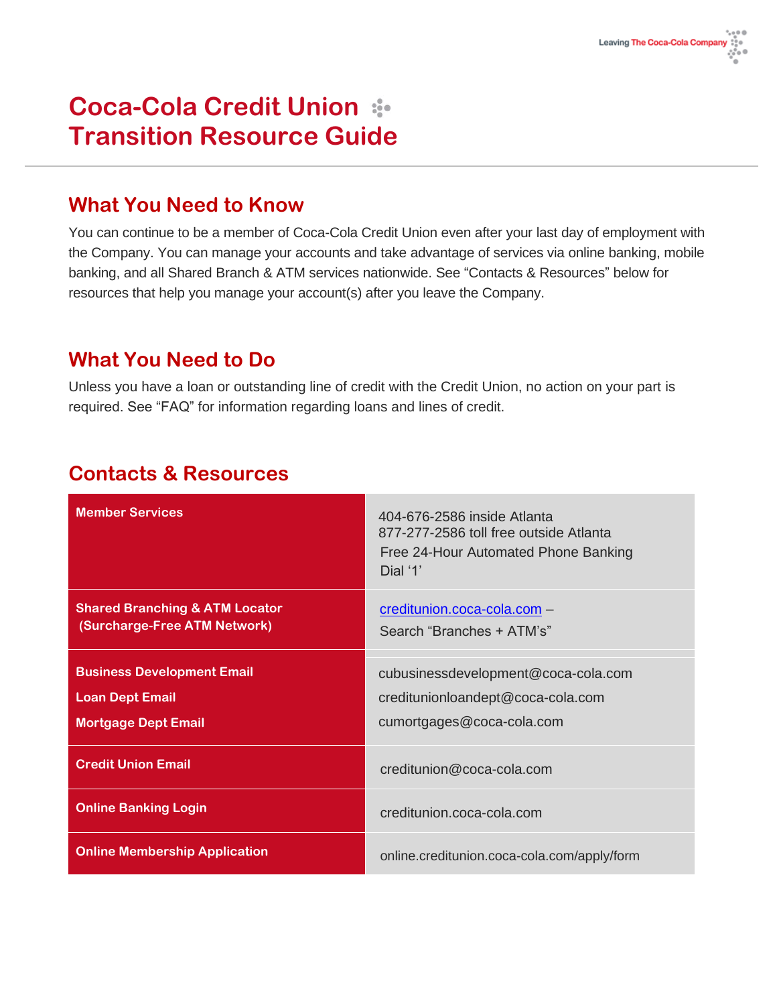# **Coca-Cola Credit Union Transition Resource Guide**

### **What You Need to Know**

You can continue to be a member of Coca-Cola Credit Union even after your last day of employment with the Company. You can manage your accounts and take advantage of services via online banking, mobile banking, and all Shared Branch & ATM services nationwide. See "Contacts & Resources" below for resources that help you manage your account(s) after you leave the Company.

#### **What You Need to Do**

Unless you have a loan or outstanding line of credit with the Credit Union, no action on your part is required. See "FAQ" for information regarding loans and lines of credit.

### **Contacts & Resources**

| <b>Member Services</b>                                                                    | 404-676-2586 inside Atlanta<br>877-277-2586 toll free outside Atlanta<br>Free 24-Hour Automated Phone Banking<br>Dial '1' |
|-------------------------------------------------------------------------------------------|---------------------------------------------------------------------------------------------------------------------------|
| <b>Shared Branching &amp; ATM Locator</b><br>(Surcharge-Free ATM Network)                 | creditunion.coca-cola.com -<br>Search "Branches + ATM's"                                                                  |
| <b>Business Development Email</b><br><b>Loan Dept Email</b><br><b>Mortgage Dept Email</b> | cubusinessdevelopment@coca-cola.com<br>creditunionloandept@coca-cola.com<br>cumortgages@coca-cola.com                     |
| <b>Credit Union Email</b>                                                                 | creditunion@coca-cola.com                                                                                                 |
| <b>Online Banking Login</b>                                                               | creditunion.coca-cola.com                                                                                                 |
| <b>Online Membership Application</b>                                                      | online.creditunion.coca-cola.com/apply/form                                                                               |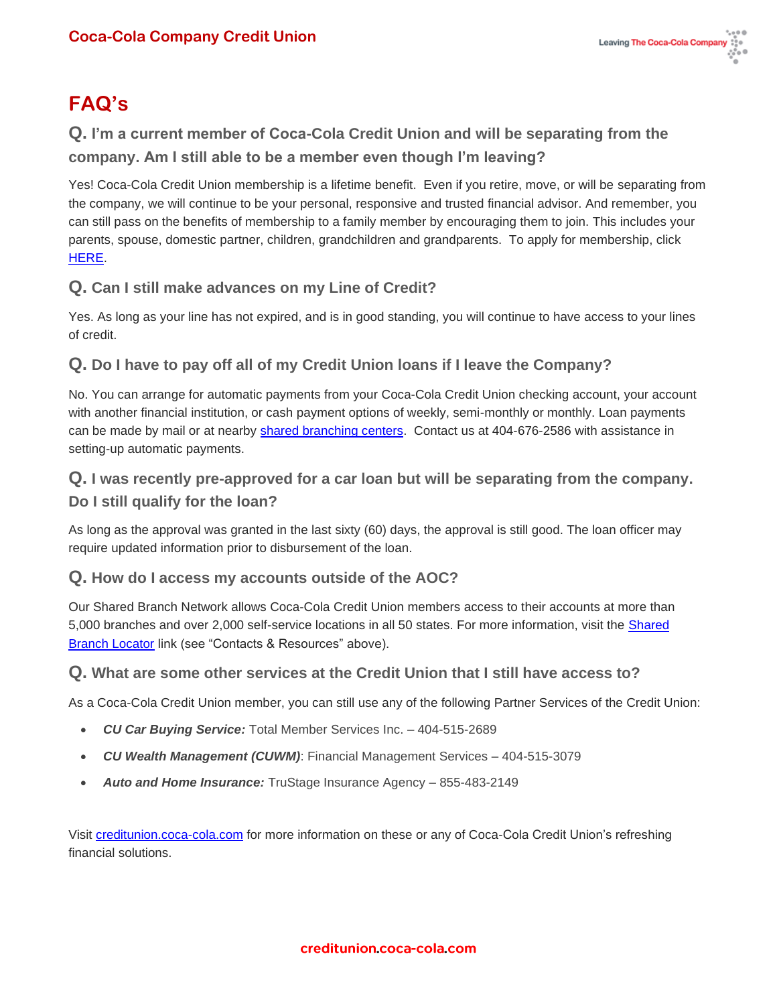## **FAQ's**

#### **Q. I'm a current member of Coca-Cola Credit Union and will be separating from the company. Am I still able to be a member even though I'm leaving?**

Yes! Coca-Cola Credit Union membership is a lifetime benefit. Even if you retire, move, or will be separating from the company, we will continue to be your personal, responsive and trusted financial advisor. And remember, you can still pass on the benefits of membership to a family member by encouraging them to join. This includes your parents, spouse, domestic partner, children, grandchildren and grandparents. To apply for membership, click [HERE.](https://online.creditunion.coca-cola.com/apply/form)

#### **Q. Can I still make advances on my Line of Credit?**

Yes. As long as your line has not expired, and is in good standing, you will continue to have access to your lines of credit.

#### **Q. Do I have to pay off all of my Credit Union loans if I leave the Company?**

No. You can arrange for automatic payments from your Coca-Cola Credit Union checking account, your account with another financial institution, or cash payment options of weekly, semi-monthly or monthly. Loan payments can be made by mail or at nearby [shared branching centers.](https://creditunion.coca-cola.com/shared-branches/) Contact us at 404-676-2586 with assistance in setting-up automatic payments.

#### **Q. I was recently pre-approved for a car loan but will be separating from the company. Do I still qualify for the loan?**

As long as the approval was granted in the last sixty (60) days, the approval is still good. The loan officer may require updated information prior to disbursement of the loan.

#### **Q. How do I access my accounts outside of the AOC?**

Our Shared Branch Network allows Coca-Cola Credit Union members access to their accounts at more than 5,000 branches and over 2,000 self-service locations in all 50 states. For more information, visit the [Shared](https://co-opcreditunions.org/locator/?ref=co-opsharedbranch.org&sc=1)  [Branch Locator](https://co-opcreditunions.org/locator/?ref=co-opsharedbranch.org&sc=1) link (see "Contacts & Resources" above).

#### **Q. What are some other services at the Credit Union that I still have access to?**

As a Coca-Cola Credit Union member, you can still use any of the following Partner Services of the Credit Union:

- *CU Car Buying Service:* Total Member Services Inc. 404-515-2689
- *CU Wealth Management (CUWM)*: Financial Management Services *–* 404-515-3079
- *Auto and Home Insurance:* TruStage Insurance Agency 855-483-2149

Visit [creditunion.coca-cola.com](https://creditunion.coca-cola.com/) for more information on these or any of Coca-Cola Credit Union's refreshing financial solutions.